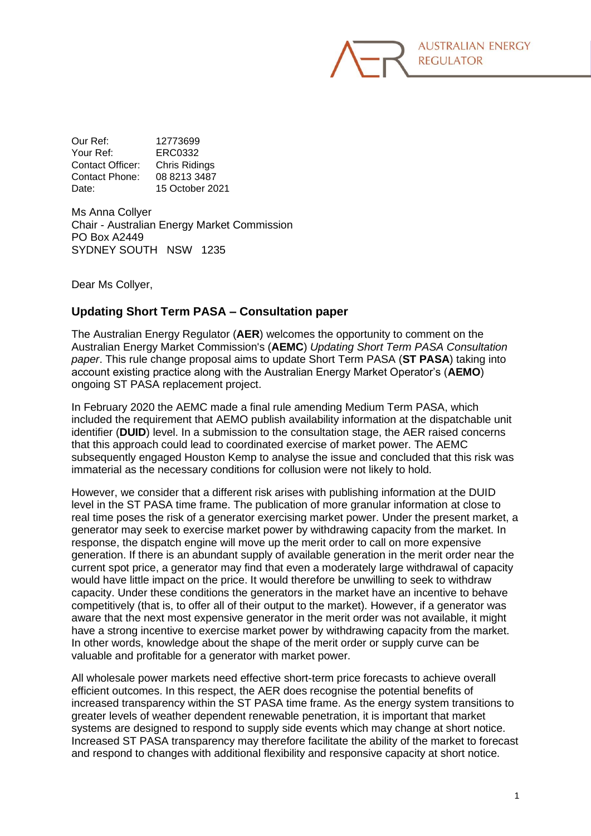

Our Ref: 12773699 Your Ref: ERC0332 Contact Officer: Chris Ridings Contact Phone: 08 8213 3487 Date: 15 October 2021

Ms Anna Collyer Chair - Australian Energy Market Commission PO Box A2449 SYDNEY SOUTH NSW 1235

Dear Ms Collyer,

## **Updating Short Term PASA – Consultation paper**

The Australian Energy Regulator (**AER**) welcomes the opportunity to comment on the Australian Energy Market Commission's (**AEMC**) *Updating Short Term PASA Consultation paper*. This rule change proposal aims to update Short Term PASA (**ST PASA**) taking into account existing practice along with the Australian Energy Market Operator's (**AEMO**) ongoing ST PASA replacement project.

In February 2020 the AEMC made a final rule amending Medium Term PASA, which included the requirement that AEMO publish availability information at the dispatchable unit identifier (**DUID**) level. In a submission to the consultation stage, the AER raised concerns that this approach could lead to coordinated exercise of market power. The AEMC subsequently engaged Houston Kemp to analyse the issue and concluded that this risk was immaterial as the necessary conditions for collusion were not likely to hold.

However, we consider that a different risk arises with publishing information at the DUID level in the ST PASA time frame. The publication of more granular information at close to real time poses the risk of a generator exercising market power. Under the present market, a generator may seek to exercise market power by withdrawing capacity from the market. In response, the dispatch engine will move up the merit order to call on more expensive generation. If there is an abundant supply of available generation in the merit order near the current spot price, a generator may find that even a moderately large withdrawal of capacity would have little impact on the price. It would therefore be unwilling to seek to withdraw capacity. Under these conditions the generators in the market have an incentive to behave competitively (that is, to offer all of their output to the market). However, if a generator was aware that the next most expensive generator in the merit order was not available, it might have a strong incentive to exercise market power by withdrawing capacity from the market. In other words, knowledge about the shape of the merit order or supply curve can be valuable and profitable for a generator with market power.

All wholesale power markets need effective short-term price forecasts to achieve overall efficient outcomes. In this respect, the AER does recognise the potential benefits of increased transparency within the ST PASA time frame. As the energy system transitions to greater levels of weather dependent renewable penetration, it is important that market systems are designed to respond to supply side events which may change at short notice. Increased ST PASA transparency may therefore facilitate the ability of the market to forecast and respond to changes with additional flexibility and responsive capacity at short notice.